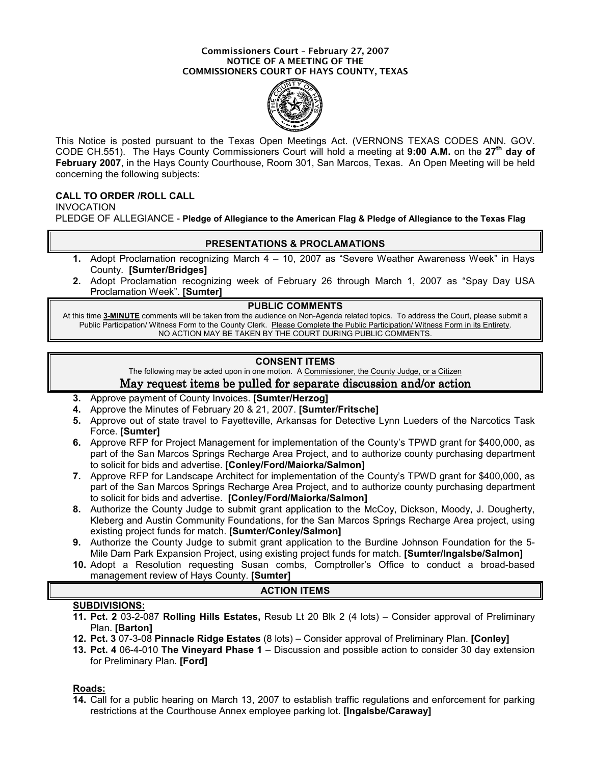#### Commissioners Court – February 27, 2007 NOTICE OF A MEETING OF THE COMMISSIONERS COURT OF HAYS COUNTY, TEXAS



This Notice is posted pursuant to the Texas Open Meetings Act. (VERNONS TEXAS CODES ANN. GOV. CODE CH.551). The Hays County Commissioners Court will hold a meeting at 9:00 A.M. on the  $27<sup>th</sup>$  day of February 2007, in the Hays County Courthouse, Room 301, San Marcos, Texas. An Open Meeting will be held concerning the following subjects:

## CALL TO ORDER /ROLL CALL

INVOCATION PLEDGE OF ALLEGIANCE - Pledge of Allegiance to the American Flag & Pledge of Allegiance to the Texas Flag

### PRESENTATIONS & PROCLAMATIONS

- 1. Adopt Proclamation recognizing March 4 10, 2007 as "Severe Weather Awareness Week" in Hays County. [Sumter/Bridges]
- 2. Adopt Proclamation recognizing week of February 26 through March 1, 2007 as "Spay Day USA Proclamation Week". [Sumter]

### PUBLIC COMMENTS

At this time 3-MINUTE comments will be taken from the audience on Non-Agenda related topics. To address the Court, please submit a Public Participation/ Witness Form to the County Clerk. Please Complete the Public Participation/ Witness Form in its Entirety. NO ACTION MAY BE TAKEN BY THE COURT DURING PUBLIC COMMENTS.

## CONSENT ITEMS

The following may be acted upon in one motion. A Commissioner, the County Judge, or a Citizen

## May request items be pulled for separate discussion and/or action

- 3. Approve payment of County Invoices. [Sumter/Herzog]
- 4. Approve the Minutes of February 20 & 21, 2007. [Sumter/Fritsche]
- 5. Approve out of state travel to Fayetteville, Arkansas for Detective Lynn Lueders of the Narcotics Task Force. [Sumter]
- 6. Approve RFP for Project Management for implementation of the County's TPWD grant for \$400,000, as part of the San Marcos Springs Recharge Area Project, and to authorize county purchasing department to solicit for bids and advertise. [Conley/Ford/Maiorka/Salmon]
- 7. Approve RFP for Landscape Architect for implementation of the County's TPWD grant for \$400,000, as part of the San Marcos Springs Recharge Area Project, and to authorize county purchasing department to solicit for bids and advertise. [Conley/Ford/Maiorka/Salmon]
- 8. Authorize the County Judge to submit grant application to the McCoy, Dickson, Moody, J. Dougherty, Kleberg and Austin Community Foundations, for the San Marcos Springs Recharge Area project, using existing project funds for match. [Sumter/Conley/Salmon]
- 9. Authorize the County Judge to submit grant application to the Burdine Johnson Foundation for the 5- Mile Dam Park Expansion Project, using existing project funds for match. [Sumter/Ingalsbe/Salmon]
- 10. Adopt a Resolution requesting Susan combs, Comptroller's Office to conduct a broad-based management review of Hays County. [Sumter]

### ACTION ITEMS

### SUBDIVISIONS:

- 11. Pct. 2 03-2-087 Rolling Hills Estates, Resub Lt 20 Blk 2 (4 lots) Consider approval of Preliminary Plan. **[Barton]**
- 12. Pct. 3 07-3-08 Pinnacle Ridge Estates (8 lots) Consider approval of Preliminary Plan. [Conley]
- 13. Pct. 4 06-4-010 The Vineyard Phase 1 Discussion and possible action to consider 30 day extension for Preliminary Plan. [Ford]

#### Roads:

14. Call for a public hearing on March 13, 2007 to establish traffic regulations and enforcement for parking restrictions at the Courthouse Annex employee parking lot. [Ingalsbe/Caraway]